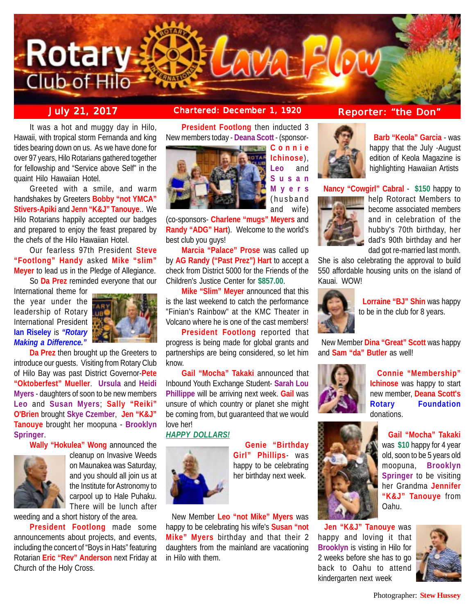

**July 21, 2017 Chartered: December 1, 1920 Reporter: "the Don"**

It was a hot and muggy day in Hilo, Hawaii, with tropical storm Fernanda and king tides bearing down on us. As we have done for over 97 years, Hilo Rotarians gathered together for fellowship and "Service above Self" in the quaint Hilo Hawaiian Hotel.

Greeted with a smile, and warm handshakes by Greeters **Bobby "not YMCA" Stivers-Apiki** and **Jenn "K&J" Tanouye**.. We Hilo Rotarians happily accepted our badges and prepared to enjoy the feast prepared by the chefs of the Hilo Hawaiian Hotel.

Our fearless 97th President **Steve "Footlong" Handy** asked **Mike "slim" Meyer** to lead us in the Pledge of Allegiance. So **Da Prez** reminded everyone that our

International theme for the year under the leadership of Rotary International President **Ian Riseley** is *"Rotary Making a Difference."*



**Da Prez** then brought up the Greeters to introduce our guests. Visiting from Rotary Club of Hilo Bay was past District Governor-**Pete "Oktoberfest" Mueller**. **Ursula** and **Heidi Myers** - daughters of soon to be new members **Leo** and **Susan Myers**; **Sally "Reiki" O'Brien** brought **Skye Czember**, **Jen "K&J" Tanouye** brought her moopuna - **Brooklyn Springer**.

**Wally "Hokulea" Wong** announced the



cleanup on Invasive Weeds on Maunakea was Saturday, and you should all join us at the Institute for Astronomy to carpool up to Hale Puhaku. There will be lunch after

weeding and a short history of the area.

**President Footlong** made some announcements about projects, and events, including the concert of "Boys in Hats" featuring Rotarian **Eric "Rev" Anderson** next Friday at Church of the Holy Cross.

**President Footlong** then inducted 3 New members today - **Deana Scott** - (sponsor-**Connie**



**Susan Myers** (husband and wife)

**Ichinose**), **Leo** and

(co-sponsors- **Charlene "mugs" Meyers** and **Randy "ADG" Hart**). Welcome to the world's best club you guys!

**Marcia "Palace" Prose** was called up by **AG Randy ("Past Prez") Hart** to accept a check from District 5000 for the Friends of the Children's Justice Center for **\$857.00**.

**Mike "Slim" Meyer** announced that this is the last weekend to catch the performance "Finian's Rainbow" at the KMC Theater in Volcano where he is one of the cast members!

**President Footlong** reported that progress is being made for global grants and partnerships are being considered, so let him know.

**Gail "Mocha" Takaki** announced that Inbound Youth Exchange Student- **Sarah Lou Phillippe** will be arriving next week. **Gail** was unsure of which country or planet she might be coming from, but guaranteed that we would love her!

## *HAPPY DOLLARS!*



 **Genie "Birthday Girl" Phillips**- was happy to be celebrating her birthday next week.

 New Member **Leo "not Mike" Myers** was happy to be celebrating his wife's **Susan "not Mike" Myers** birthday and that their 2 daughters from the mainland are vacationing in Hilo with them.



 **Barb "Keola" Garcia** - was happy that the July -August edition of Keola Magazine is highlighting Hawaiian Artists

**Nancy "Cowgirl" Cabral** - **\$150** happy to



help Rotoract Members to become associated members and in celebration of the hubby's 70th birthday, her dad's 90th birthday and her dad got re-married last month.

She is also celebrating the approval to build 550 affordable housing units on the island of Kauai. WOW!



 **Lorraine "BJ" Shin** was happy to be in the club for 8 years.

 New Member **Dina "Great" Scott** was happy and **Sam "da" Butler** as well!



 **Connie "Membership" Ichinose** was happy to start new member, **Deana Scott's Rotary Foundation** donations.



 **Gail "Mocha" Takaki** was **\$10** happy for 4 year old, soon to be 5 years old moopuna, **Brooklyn Springer** to be visiting her Grandma **Jennifer "K&J" Tanouye** from Oahu.

 **Jen "K&J" Tanouye** was happy and loving it that **Brooklyn** is visting in Hilo for 2 weeks before she has to go back to Oahu to attend kindergarten next week